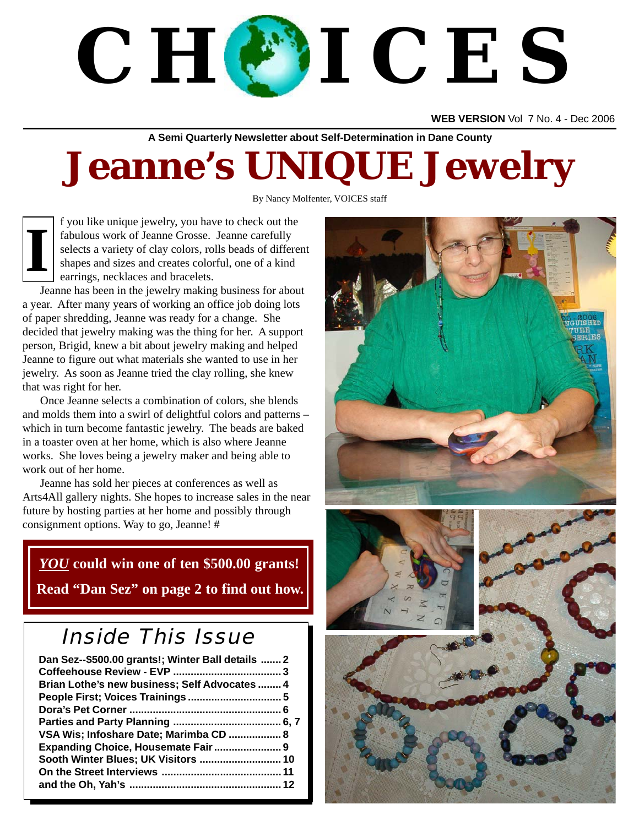# **C H O I C E S**

**WEB VERSION** Vol 7 No. 4 - Dec 2006

**A Semi Quarterly Newsletter about Self-Determination in Dane County**

# **Jeanne's UNIQUE Jewelry**

By Nancy Molfenter, VOICES staff



f you like unique jewelry, you have to check out the fabulous work of Jeanne Grosse. Jeanne carefully selects a variety of clay colors, rolls beads of different shapes and sizes and creates colorful, one of a kind earrings, necklaces and bracelets.

Jeanne has been in the jewelry making business for about a year. After many years of working an office job doing lots of paper shredding, Jeanne was ready for a change. She decided that jewelry making was the thing for her. A support person, Brigid, knew a bit about jewelry making and helped Jeanne to figure out what materials she wanted to use in her jewelry. As soon as Jeanne tried the clay rolling, she knew that was right for her.

Once Jeanne selects a combination of colors, she blends and molds them into a swirl of delightful colors and patterns – which in turn become fantastic jewelry. The beads are baked in a toaster oven at her home, which is also where Jeanne works. She loves being a jewelry maker and being able to work out of her home.

Jeanne has sold her pieces at conferences as well as Arts4All gallery nights. She hopes to increase sales in the near future by hosting parties at her home and possibly through consignment options. Way to go, Jeanne! #

### *YOU* **could win one of ten \$500.00 grants! Read "Dan Sez" on page 2 to find out how.**

# Inside This Issue

| Dan Sez--\$500.00 grants!; Winter Ball details  2 |  |
|---------------------------------------------------|--|
|                                                   |  |
| Brian Lothe's new business; Self Advocates  4     |  |
|                                                   |  |
|                                                   |  |
|                                                   |  |
| VSA Wis; Infoshare Date; Marimba CD  8            |  |
|                                                   |  |
|                                                   |  |
|                                                   |  |
|                                                   |  |

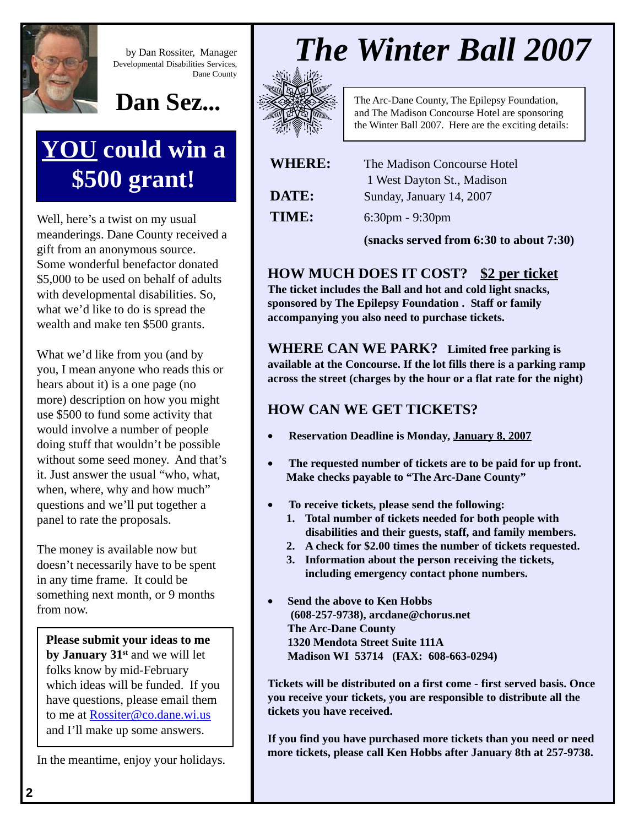

by Dan Rossiter, Manager Developmental Disabilities Services, Dane County



# **YOU could win a \$500 grant!**

Well, here's a twist on my usual meanderings. Dane County received a gift from an anonymous source. Some wonderful benefactor donated \$5,000 to be used on behalf of adults with developmental disabilities. So, what we'd like to do is spread the wealth and make ten \$500 grants.

What we'd like from you (and by you, I mean anyone who reads this or hears about it) is a one page (no more) description on how you might use \$500 to fund some activity that would involve a number of people doing stuff that wouldn't be possible without some seed money. And that's it. Just answer the usual "who, what, when, where, why and how much" questions and we'll put together a panel to rate the proposals.

The money is available now but doesn't necessarily have to be spent in any time frame. It could be something next month, or 9 months from now.

**Please submit your ideas to me by January 31st** and we will let folks know by mid-February which ideas will be funded. If you have questions, please email them to me at Rossiter@co.dane.wi.us and I'll make up some answers.

In the meantime, enjoy your holidays.



The Arc-Dane County, The Epilepsy Foundation, and The Madison Concourse Hotel are sponsoring the Winter Ball 2007. Here are the exciting details:

| <b>WHERE:</b> | The Madison Concourse Hotel |
|---------------|-----------------------------|
|               | 1 West Dayton St., Madison  |
| <b>DATE:</b>  | Sunday, January 14, 2007    |
| <b>TIME:</b>  | $6:30$ pm - $9:30$ pm       |

**(snacks served from 6:30 to about 7:30)**

### **HOW MUCH DOES IT COST? \$2 per ticket**

**The ticket includes the Ball and hot and cold light snacks, sponsored by The Epilepsy Foundation . Staff or family accompanying you also need to purchase tickets.**

**WHERE CAN WE PARK? Limited free parking is available at the Concourse. If the lot fills there is a parking ramp across the street (charges by the hour or a flat rate for the night)**

### **HOW CAN WE GET TICKETS?**

- **Reservation Deadline is Monday, January 8, 2007**
- **The requested number of tickets are to be paid for up front. Make checks payable to "The Arc-Dane County"**
- **To receive tickets, please send the following:**
	- **1. Total number of tickets needed for both people with disabilities and their guests, staff, and family members.**
	- **2. A check for \$2.00 times the number of tickets requested.**
	- **3. Information about the person receiving the tickets, including emergency contact phone numbers.**
- **Send the above to Ken Hobbs (608-257-9738), arcdane@chorus.net The Arc-Dane County 1320 Mendota Street Suite 111A Madison WI 53714 (FAX: 608-663-0294)**

**Tickets will be distributed on a first come - first served basis. Once you receive your tickets, you are responsible to distribute all the tickets you have received.**

**If you find you have purchased more tickets than you need or need more tickets, please call Ken Hobbs after January 8th at 257-9738.**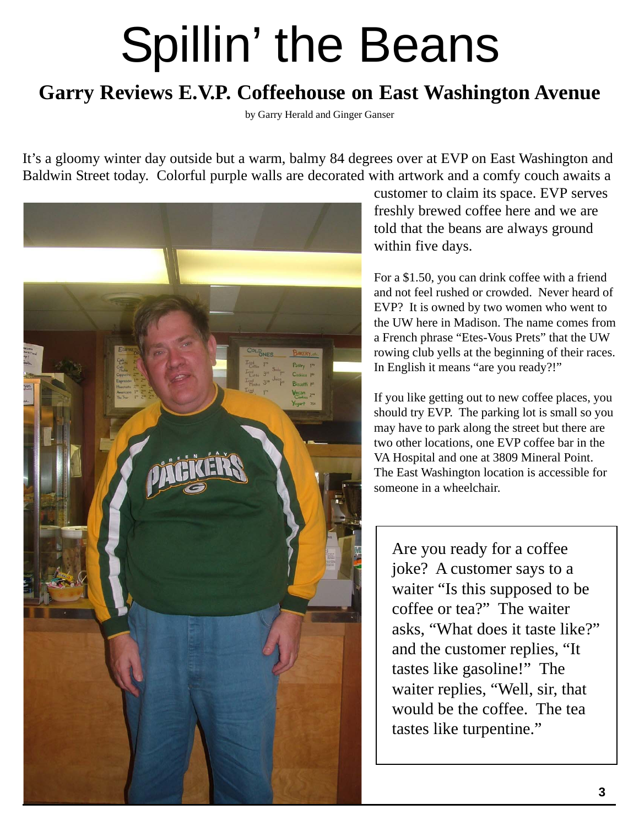# Spillin' the Beans

### **Garry Reviews E.V.P. Coffeehouse on East Washington Avenue**

by Garry Herald and Ginger Ganser

It's a gloomy winter day outside but a warm, balmy 84 degrees over at EVP on East Washington and Baldwin Street today. Colorful purple walls are decorated with artwork and a comfy couch awaits a



customer to claim its space. EVP serves freshly brewed coffee here and we are told that the beans are always ground within five days.

For a \$1.50, you can drink coffee with a friend and not feel rushed or crowded. Never heard of EVP? It is owned by two women who went to the UW here in Madison. The name comes from a French phrase "Etes-Vous Prets" that the UW rowing club yells at the beginning of their races. In English it means "are you ready?!"

If you like getting out to new coffee places, you should try EVP. The parking lot is small so you may have to park along the street but there are two other locations, one EVP coffee bar in the VA Hospital and one at 3809 Mineral Point. The East Washington location is accessible for someone in a wheelchair.

Are you ready for a coffee joke? A customer says to a waiter "Is this supposed to be coffee or tea?" The waiter asks, "What does it taste like?" and the customer replies, "It tastes like gasoline!" The waiter replies, "Well, sir, that would be the coffee. The tea tastes like turpentine."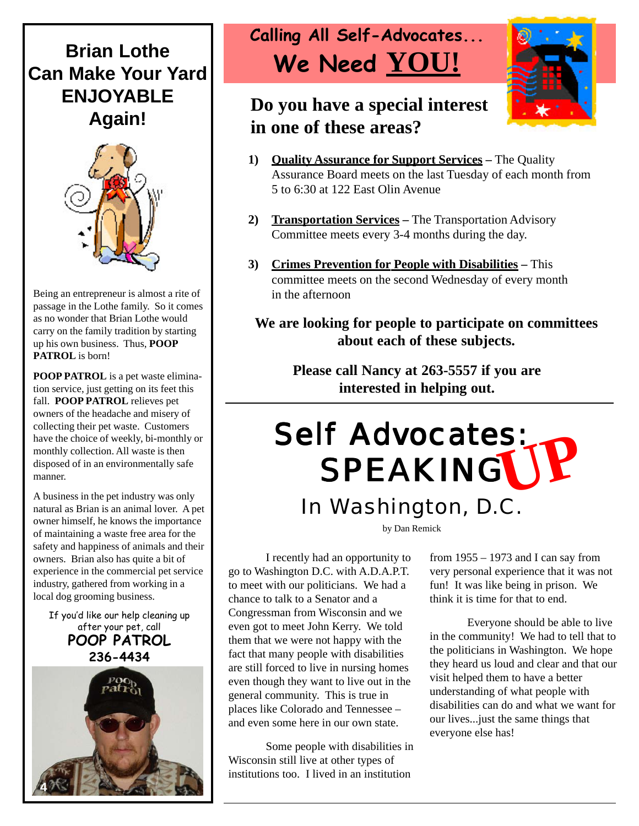### **Brian Lothe Can Make Your Yard ENJOYABLE Again!**



Being an entrepreneur is almost a rite of passage in the Lothe family. So it comes as no wonder that Brian Lothe would carry on the family tradition by starting up his own business. Thus, **POOP PATROL** is born!

**POOP PATROL** is a pet waste elimination service, just getting on its feet this fall. **POOP PATROL** relieves pet owners of the headache and misery of collecting their pet waste. Customers have the choice of weekly, bi-monthly or monthly collection. All waste is then disposed of in an environmentally safe manner.

A business in the pet industry was only natural as Brian is an animal lover. A pet owner himself, he knows the importance of maintaining a waste free area for the safety and happiness of animals and their owners. Brian also has quite a bit of experience in the commercial pet service industry, gathered from working in a local dog grooming business.

If you'd like our help cleaning up after your pet, call **POOP PATROL 236-4434**



# **Calling All Self-Advocates... We Need YOU!**

### **Do you have a special interest in one of these areas?**



- **1) Quality Assurance for Support Services** The Quality Assurance Board meets on the last Tuesday of each month from 5 to 6:30 at 122 East Olin Avenue
- **2) Transportation Services** The Transportation Advisory Committee meets every 3-4 months during the day.
- **3) Crimes Prevention for People with Disabilities** This committee meets on the second Wednesday of every month in the afternoon

#### **We are looking for people to participate on committees about each of these subjects.**

**Please call Nancy at 263-5557 if you are interested in helping out.**

# **UP**<br>SPEAKINGUP Self Advocates: In Washington, D.C.

by Dan Remick

I recently had an opportunity to go to Washington D.C. with A.D.A.P.T. to meet with our politicians. We had a chance to talk to a Senator and a Congressman from Wisconsin and we even got to meet John Kerry. We told them that we were not happy with the fact that many people with disabilities are still forced to live in nursing homes even though they want to live out in the general community. This is true in places like Colorado and Tennessee – and even some here in our own state.

Some people with disabilities in Wisconsin still live at other types of institutions too. I lived in an institution

from  $1955 - 1973$  and I can say from very personal experience that it was not fun! It was like being in prison. We think it is time for that to end.

Everyone should be able to live in the community! We had to tell that to the politicians in Washington. We hope they heard us loud and clear and that our visit helped them to have a better understanding of what people with disabilities can do and what we want for our lives...just the same things that everyone else has!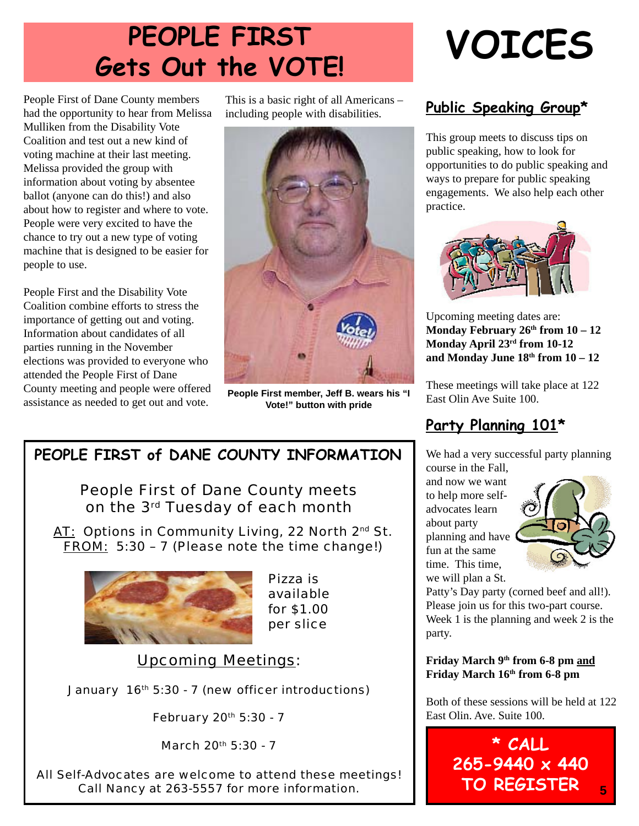# **PEOPLE FIRST Gets Out the VOTE!**

People First of Dane County members had the opportunity to hear from Melissa Mulliken from the Disability Vote Coalition and test out a new kind of voting machine at their last meeting. Melissa provided the group with information about voting by absentee ballot (anyone can do this!) and also about how to register and where to vote. People were very excited to have the chance to try out a new type of voting machine that is designed to be easier for people to use.

People First and the Disability Vote Coalition combine efforts to stress the importance of getting out and voting. Information about candidates of all parties running in the November elections was provided to everyone who attended the People First of Dane County meeting and people were offered assistance as needed to get out and vote.

This is a basic right of all Americans – including people with disabilities.



**People First member, Jeff B. wears his "I Vote!" button with pride**

### **PEOPLE FIRST of DANE COUNTY INFORMATION**

People First of Dane County meets on the 3rd Tuesday of each month

AT: Options in Community Living, 22 North 2<sup>nd</sup> St. FROM: 5:30 – 7 (Please note the time change!)



Pizza is available for \$1.00 per slice

### Upcoming Meetings:

January 16th 5:30 - 7 (new officer introductions)

February 20<sup>th</sup> 5:30 - 7

March 20th 5:30 - 7

All Self-Advocates are welcome to attend these meetings! Call Nancy at 263-5557 for more information.

# **VOICES**

### **Public Speaking Group\***

This group meets to discuss tips on public speaking, how to look for opportunities to do public speaking and ways to prepare for public speaking engagements. We also help each other practice.



Upcoming meeting dates are: **Monday February 26th from**  $10 - 12$ **Monday April 23rd from 10-12** and Monday June  $18<sup>th</sup>$  from  $10-12$ 

These meetings will take place at 122 East Olin Ave Suite 100.

### **Party Planning 101\***

We had a very successful party planning course in the Fall,

and now we want to help more selfadvocates learn about party planning and have fun at the same time. This time, we will plan a St.



Patty's Day party (corned beef and all!). Please join us for this two-part course. Week 1 is the planning and week 2 is the party.

**Friday March 9th from 6-8 pm and** Friday March 16<sup>th</sup> from 6-8 pm

Both of these sessions will be held at 122 East Olin. Ave. Suite 100.

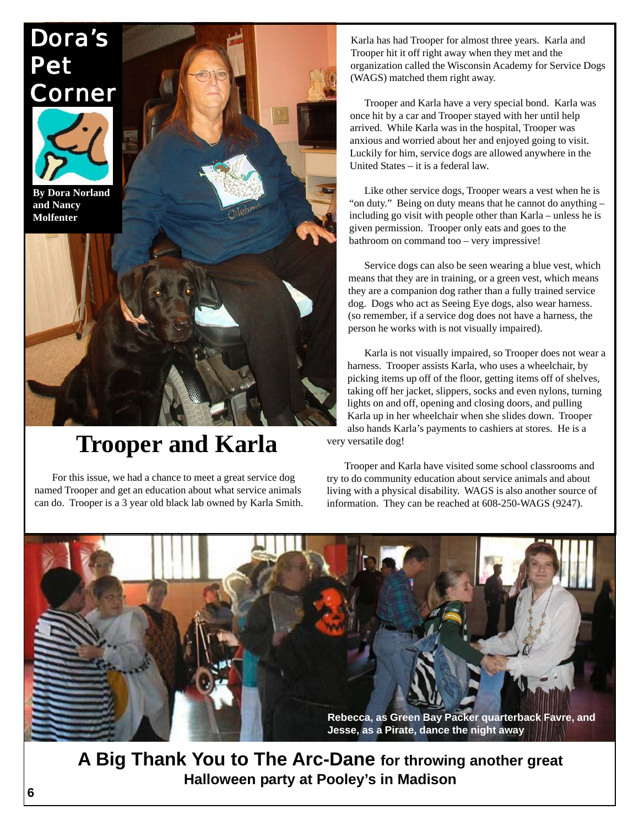

# **Trooper and Karla**

For this issue, we had a chance to meet a great service dog named Trooper and get an education about what service animals can do. Trooper is a 3 year old black lab owned by Karla Smith.

Karla has had Trooper for almost three years. Karla and Trooper hit it off right away when they met and the organization called the Wisconsin Academy for Service Dogs (WAGS) matched them right away.

Trooper and Karla have a very special bond. Karla was once hit by a car and Trooper stayed with her until help arrived. While Karla was in the hospital, Trooper was anxious and worried about her and enjoyed going to visit. Luckily for him, service dogs are allowed anywhere in the United States – it is a federal law.

Like other service dogs, Trooper wears a vest when he is "on duty." Being on duty means that he cannot do anything – including go visit with people other than Karla – unless he is given permission. Trooper only eats and goes to the bathroom on command too – very impressive!

Service dogs can also be seen wearing a blue vest, which means that they are in training, or a green vest, which means they are a companion dog rather than a fully trained service dog. Dogs who act as Seeing Eye dogs, also wear harness. (so remember, if a service dog does not have a harness, the person he works with is not visually impaired).

Karla is not visually impaired, so Trooper does not wear a harness. Trooper assists Karla, who uses a wheelchair, by picking items up off of the floor, getting items off of shelves, taking off her jacket, slippers, socks and even nylons, turning lights on and off, opening and closing doors, and pulling Karla up in her wheelchair when she slides down. Trooper also hands Karla's payments to cashiers at stores. He is a very versatile dog!

Trooper and Karla have visited some school classrooms and try to do community education about service animals and about living with a physical disability. WAGS is also another source of information. They can be reached at 608-250-WAGS (9247).



**6** *CHOICES***, May 2005 A Big Thank You to The Arc-Dane for throwing another great Halloween party at Pooley's in Madison**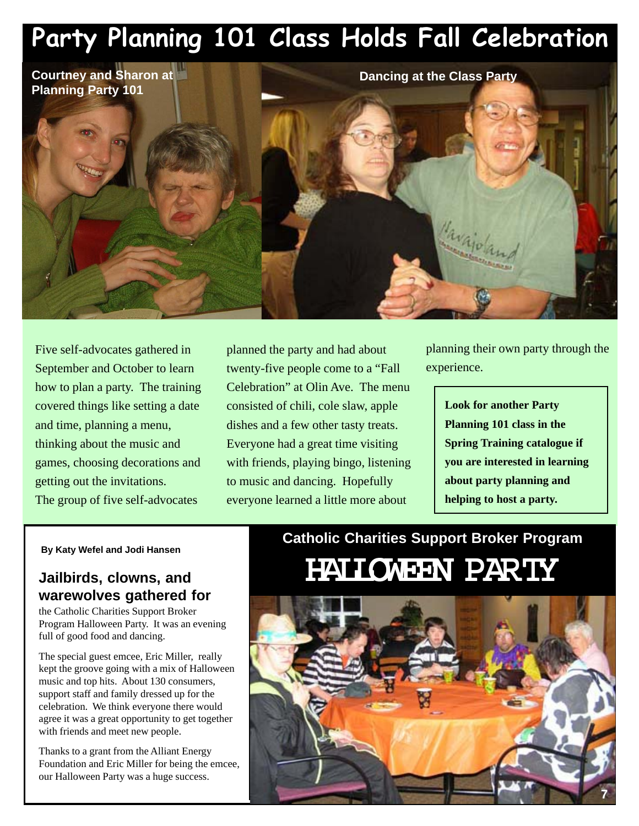# **Party Planning 101 Class Holds Fall Celebration**

**Courtney and Sharon at Planning Party 101**

> planned the party and had about twenty-five people come to a "Fall Celebration" at Olin Ave. The menu consisted of chili, cole slaw, apple dishes and a few other tasty treats. Everyone had a great time visiting with friends, playing bingo, listening to music and dancing. Hopefully everyone learned a little more about

planning their own party through the experience.

> **Look for another Party Planning 101 class in the Spring Training catalogue if you are interested in learning about party planning and helping to host a party.**

**By Katy Wefel and Jodi Hansen**

Five self-advocates gathered in September and October to learn how to plan a party. The training covered things like setting a date

and time, planning a menu, thinking about the music and

getting out the invitations.

games, choosing decorations and

The group of five self-advocates

#### **Jailbirds, clowns, and warewolves gathered for**

the Catholic Charities Support Broker Program Halloween Party. It was an evening full of good food and dancing.

The special guest emcee, Eric Miller, really kept the groove going with a mix of Halloween music and top hits. About 130 consumers, support staff and family dressed up for the celebration. We think everyone there would agree it was a great opportunity to get together with friends and meet new people.

Thanks to a grant from the Alliant Energy Foundation and Eric Miller for being the emcee, our Halloween Party was a huge success.

# **Catholic Charities Support Broker Program** HALLOWEEN PARTY

**Dancing at the Class Party**

avajo

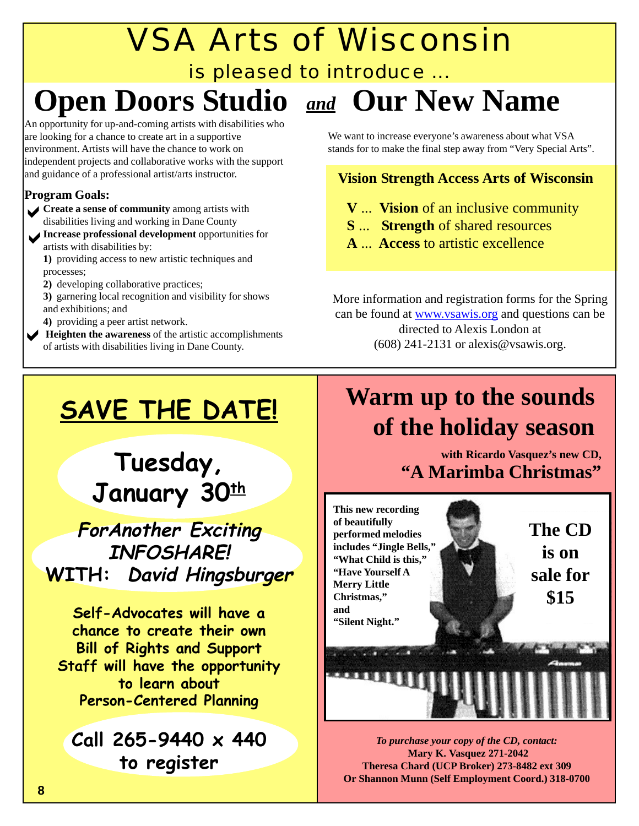# VSA Arts of Wisconsin

### is pleased to introduce ...

# **Open Doors Studio** and **Our New Name**

An opportunity for up-and-coming artists with disabilities who are looking for a chance to create art in a supportive environment. Artists will have the chance to work on independent projects and collaborative works with the support and guidance of a professional artist/arts instructor.

#### **Program Goals:**

- **Create a sense of community** among artists with<br>disabilities living and working in Dane County disabilities living and working in Dane County
- **Increase professional development** opportunities for artists with disabilities by: artists with disabilities by:

**1)** providing access to new artistic techniques and processes;

**2)** developing collaborative practices;

**3)** garnering local recognition and visibility for shows and exhibitions; and

**4)** providing a peer artist network.

Heighten the awareness of the artistic accomplishments of artists with disabilities living in Dane County.

We want to increase everyone's awareness about what VSA stands for to make the final step away from "Very Special Arts".

### **Vision Strength Access Arts of Wisconsin**

- **V** ... **Vision** of an inclusive community
- **S** ... **Strength** of shared resources
- **A** ... **Access** to artistic excellence

More information and registration forms for the Spring can be found at www.vsawis.org and questions can be directed to Alexis London at (608) 241-2131 or alexis@vsawis.org.

# **SAVE THE DATE!**

# **Tuesday,** January 30<sup>th</sup>

**ForAnother Exciting INFOSHARE! WITH: David Hingsburger**

**Self-Advocates will have a chance to create their own Bill of Rights and Support Staff will have the opportunity to learn about Person-Centered Planning**

**Call 265-9440 x 440 to register**

# **Warm up to the sounds of the holiday season**

**with Ricardo Vasquez's new CD, "A Marimba Christmas"**



*To purchase your copy of the CD, contact:*  **Mary K. Vasquez 271-2042 Theresa Chard (UCP Broker) 273-8482 ext 309 Or Shannon Munn (Self Employment Coord.) 318-0700**

*CHOICES***, May 2005**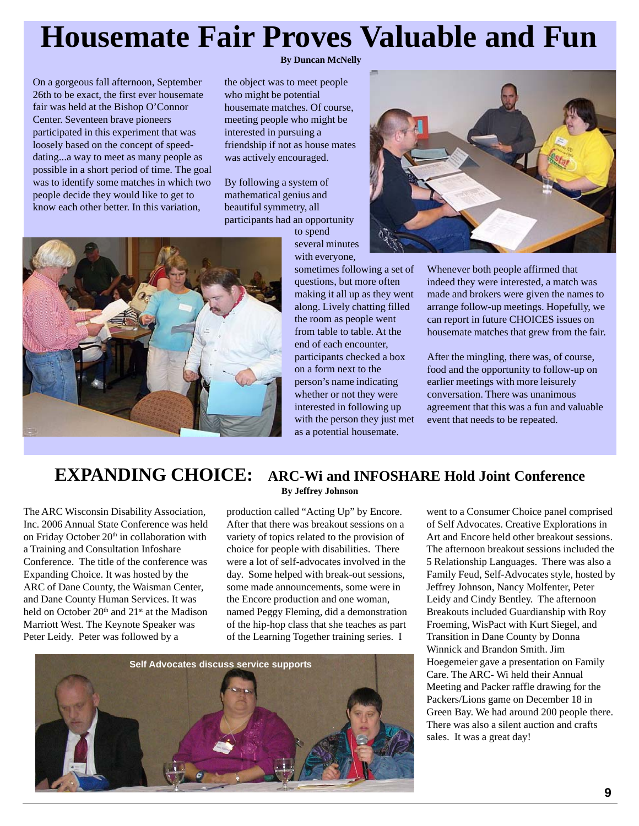# **Housemate Fair Proves Valuable and Fun**

On a gorgeous fall afternoon, September 26th to be exact, the first ever housemate fair was held at the Bishop O'Connor Center. Seventeen brave pioneers participated in this experiment that was loosely based on the concept of speeddating...a way to meet as many people as possible in a short period of time. The goal was to identify some matches in which two people decide they would like to get to know each other better. In this variation,

#### **By Duncan McNelly**

the object was to meet people who might be potential housemate matches. Of course, meeting people who might be interested in pursuing a friendship if not as house mates was actively encouraged.

By following a system of mathematical genius and beautiful symmetry, all participants had an opportunity

> to spend several minutes with everyone,

sometimes following a set of questions, but more often making it all up as they went along. Lively chatting filled the room as people went from table to table. At the end of each encounter, participants checked a box on a form next to the person's name indicating whether or not they were interested in following up with the person they just met as a potential housemate.



Whenever both people affirmed that indeed they were interested, a match was made and brokers were given the names to arrange follow-up meetings. Hopefully, we can report in future CHOICES issues on housemate matches that grew from the fair.

After the mingling, there was, of course, food and the opportunity to follow-up on earlier meetings with more leisurely conversation. There was unanimous agreement that this was a fun and valuable event that needs to be repeated.

### **EXPANDING CHOICE: ARC-Wi and INFOSHARE Hold Joint Conference**

The ARC Wisconsin Disability Association, Inc. 2006 Annual State Conference was held on Friday October 20<sup>th</sup> in collaboration with a Training and Consultation Infoshare Conference. The title of the conference was Expanding Choice. It was hosted by the ARC of Dane County, the Waisman Center, and Dane County Human Services. It was held on October 20<sup>th</sup> and 21<sup>st</sup> at the Madison Marriott West. The Keynote Speaker was Peter Leidy. Peter was followed by a

### **By Jeffrey Johnson**

production called "Acting Up" by Encore. After that there was breakout sessions on a variety of topics related to the provision of choice for people with disabilities. There were a lot of self-advocates involved in the day. Some helped with break-out sessions, some made announcements, some were in the Encore production and one woman, named Peggy Fleming, did a demonstration of the hip-hop class that she teaches as part of the Learning Together training series. I



went to a Consumer Choice panel comprised of Self Advocates. Creative Explorations in Art and Encore held other breakout sessions. The afternoon breakout sessions included the 5 Relationship Languages. There was also a Family Feud, Self-Advocates style, hosted by Jeffrey Johnson, Nancy Molfenter, Peter Leidy and Cindy Bentley. The afternoon Breakouts included Guardianship with Roy Froeming, WisPact with Kurt Siegel, and Transition in Dane County by Donna Winnick and Brandon Smith. Jim Hoegemeier gave a presentation on Family Care. The ARC- Wi held their Annual Meeting and Packer raffle drawing for the Packers/Lions game on December 18 in Green Bay. We had around 200 people there. There was also a silent auction and crafts sales. It was a great day!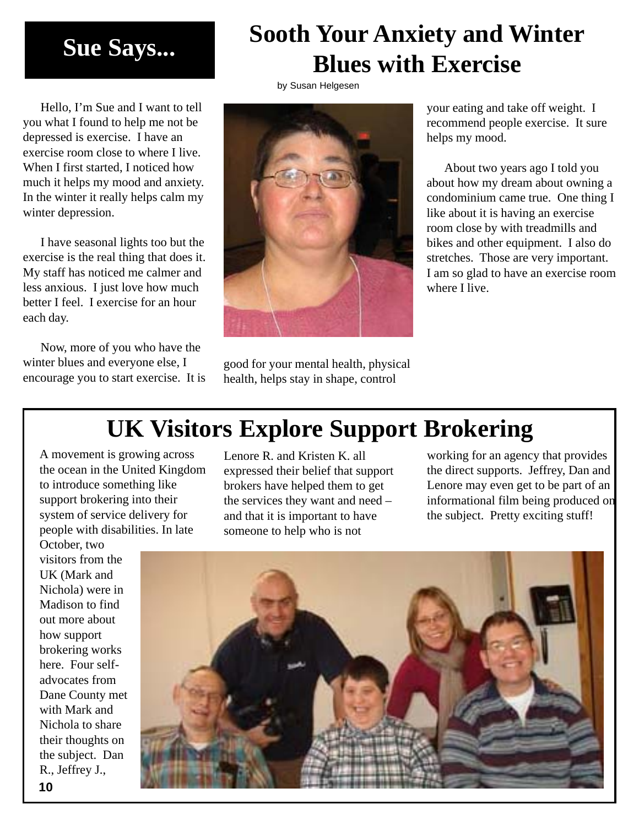# **Sue Says...**

Hello, I'm Sue and I want to tell you what I found to help me not be depressed is exercise. I have an exercise room close to where I live. When I first started, I noticed how much it helps my mood and anxiety. In the winter it really helps calm my winter depression.

I have seasonal lights too but the exercise is the real thing that does it. My staff has noticed me calmer and less anxious. I just love how much better I feel. I exercise for an hour each day.

Now, more of you who have the winter blues and everyone else, I encourage you to start exercise. It is



by Susan Helgesen

good for your mental health, physical health, helps stay in shape, control

your eating and take off weight. I recommend people exercise. It sure helps my mood.

**Sooth Your Anxiety and Winter**

**Blues with Exercise**

About two years ago I told you about how my dream about owning a condominium came true. One thing I like about it is having an exercise room close by with treadmills and bikes and other equipment. I also do stretches. Those are very important. I am so glad to have an exercise room where I live.

# **UK Visitors Explore Support Brokering**

A movement is growing across the ocean in the United Kingdom to introduce something like support brokering into their system of service delivery for people with disabilities. In late

October, two visitors from the UK (Mark and Nichola) were in Madison to find out more about how support brokering works here. Four selfadvocates from Dane County met with Mark and Nichola to share their thoughts on the subject. Dan R., Jeffrey J., **10**

Lenore R. and Kristen K. all expressed their belief that support brokers have helped them to get the services they want and need – and that it is important to have someone to help who is not

working for an agency that provides the direct supports. Jeffrey, Dan and Lenore may even get to be part of an informational film being produced on the subject. Pretty exciting stuff!

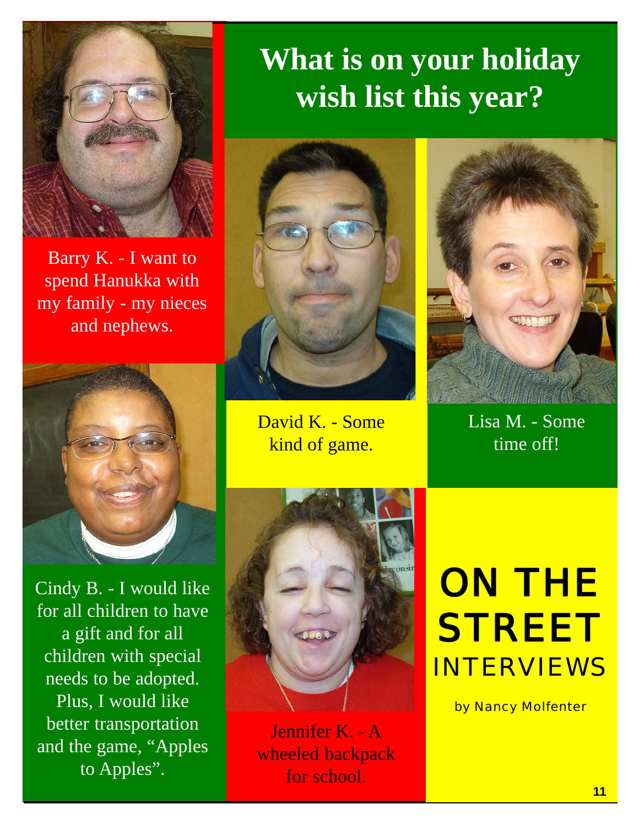

Barry K. - I want to spend Hanukka with my family - my nieces and nephews.



Cindy B. - I would like for all children to have a gift and for all children with special needs to be adopted. Plus, I would like better transportation and the game, "Apples to Apples".

# **What is on your holiday wish list this year?**



David K. - Some kind of game.



Lisa M. - Some time off!



Jennifer K. - A wheeled backpack for school.

# ON THE **STREET** INTERVIEWS

by Nancy Molfenter